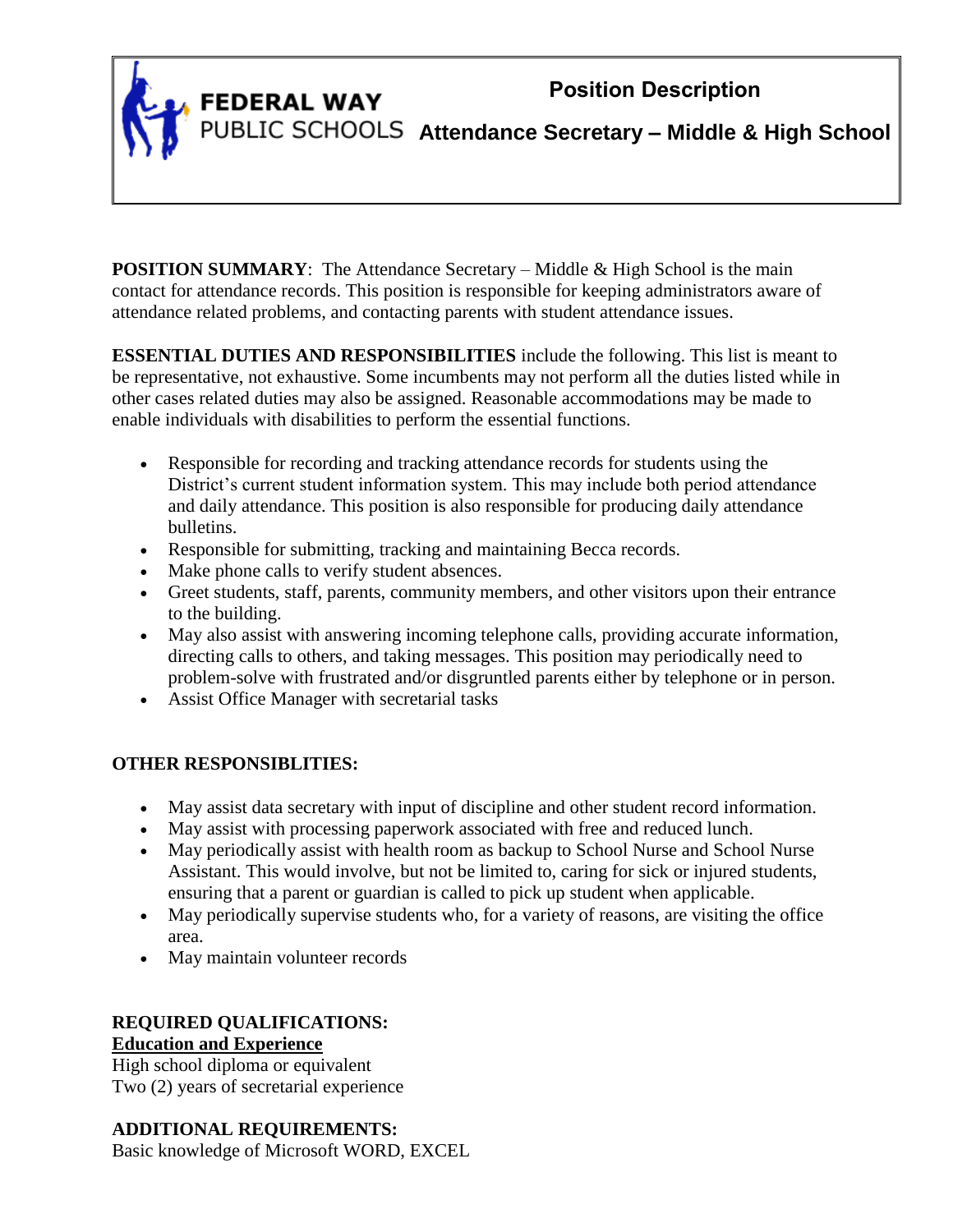# **Position Description**

**FEDERAL WAY** 

**Attendance Secretary – Middle & High School**

**POSITION SUMMARY:** The Attendance Secretary – Middle & High School is the main contact for attendance records. This position is responsible for keeping administrators aware of attendance related problems, and contacting parents with student attendance issues.

**ESSENTIAL DUTIES AND RESPONSIBILITIES** include the following. This list is meant to be representative, not exhaustive. Some incumbents may not perform all the duties listed while in other cases related duties may also be assigned. Reasonable accommodations may be made to enable individuals with disabilities to perform the essential functions.

- Responsible for recording and tracking attendance records for students using the District's current student information system. This may include both period attendance and daily attendance. This position is also responsible for producing daily attendance bulletins.
- Responsible for submitting, tracking and maintaining Becca records.
- Make phone calls to verify student absences.
- Greet students, staff, parents, community members, and other visitors upon their entrance to the building.
- May also assist with answering incoming telephone calls, providing accurate information, directing calls to others, and taking messages. This position may periodically need to problem-solve with frustrated and/or disgruntled parents either by telephone or in person.
- Assist Office Manager with secretarial tasks

## **OTHER RESPONSIBLITIES:**

- May assist data secretary with input of discipline and other student record information.
- May assist with processing paperwork associated with free and reduced lunch.
- May periodically assist with health room as backup to School Nurse and School Nurse Assistant. This would involve, but not be limited to, caring for sick or injured students, ensuring that a parent or guardian is called to pick up student when applicable.
- May periodically supervise students who, for a variety of reasons, are visiting the office area.
- May maintain volunteer records

## **REQUIRED QUALIFICATIONS: Education and Experience**

High school diploma or equivalent Two (2) years of secretarial experience

## **ADDITIONAL REQUIREMENTS:**

Basic knowledge of Microsoft WORD, EXCEL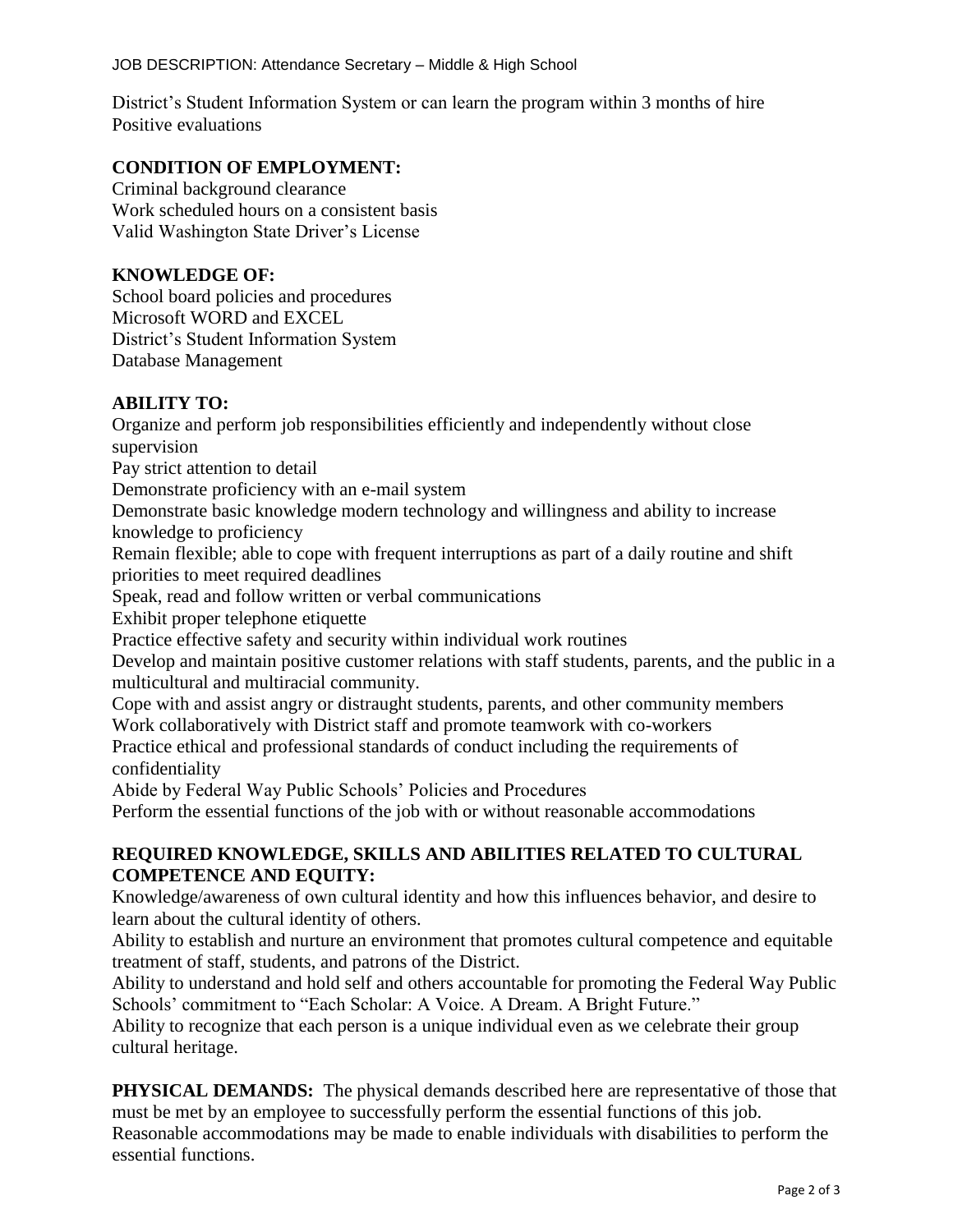District's Student Information System or can learn the program within 3 months of hire Positive evaluations

### **CONDITION OF EMPLOYMENT:**

Criminal background clearance Work scheduled hours on a consistent basis Valid Washington State Driver's License

### **KNOWLEDGE OF:**

School board policies and procedures Microsoft WORD and EXCEL District's Student Information System Database Management

### **ABILITY TO:**

Organize and perform job responsibilities efficiently and independently without close supervision Pay strict attention to detail Demonstrate proficiency with an e-mail system Demonstrate basic knowledge modern technology and willingness and ability to increase knowledge to proficiency Remain flexible; able to cope with frequent interruptions as part of a daily routine and shift priorities to meet required deadlines Speak, read and follow written or verbal communications Exhibit proper telephone etiquette Practice effective safety and security within individual work routines Develop and maintain positive customer relations with staff students, parents, and the public in a multicultural and multiracial community. Cope with and assist angry or distraught students, parents, and other community members Work collaboratively with District staff and promote teamwork with co-workers Practice ethical and professional standards of conduct including the requirements of confidentiality Abide by Federal Way Public Schools' Policies and Procedures Perform the essential functions of the job with or without reasonable accommodations

### **REQUIRED KNOWLEDGE, SKILLS AND ABILITIES RELATED TO CULTURAL COMPETENCE AND EQUITY:**

Knowledge/awareness of own cultural identity and how this influences behavior, and desire to learn about the cultural identity of others.

Ability to establish and nurture an environment that promotes cultural competence and equitable treatment of staff, students, and patrons of the District.

Ability to understand and hold self and others accountable for promoting the Federal Way Public Schools' commitment to "Each Scholar: A Voice. A Dream. A Bright Future."

Ability to recognize that each person is a unique individual even as we celebrate their group cultural heritage.

**PHYSICAL DEMANDS:** The physical demands described here are representative of those that must be met by an employee to successfully perform the essential functions of this job. Reasonable accommodations may be made to enable individuals with disabilities to perform the essential functions.